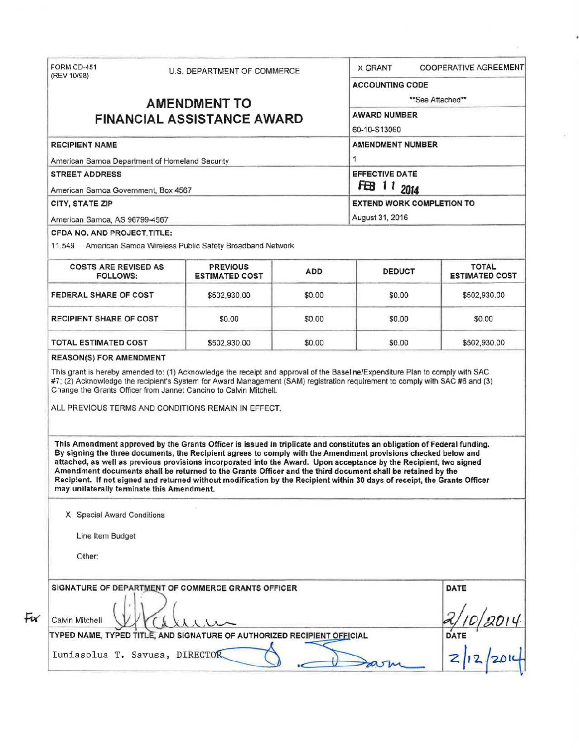| (REV 10/98)                                                                                                                                                                                                                                                                                                                                                                                                                                                                                                                                                                                                                                               | U.S. DEPARTMENT OF COMMERCE              |            | <b>COOPERATIVE AGREEMENT</b><br><b>X GRANT</b> |                                       |  |  |
|-----------------------------------------------------------------------------------------------------------------------------------------------------------------------------------------------------------------------------------------------------------------------------------------------------------------------------------------------------------------------------------------------------------------------------------------------------------------------------------------------------------------------------------------------------------------------------------------------------------------------------------------------------------|------------------------------------------|------------|------------------------------------------------|---------------------------------------|--|--|
|                                                                                                                                                                                                                                                                                                                                                                                                                                                                                                                                                                                                                                                           |                                          |            | <b>ACCOUNTING CODE</b>                         |                                       |  |  |
| <b>AMENDMENT TO</b><br><b>FINANCIAL ASSISTANCE AWARD</b>                                                                                                                                                                                                                                                                                                                                                                                                                                                                                                                                                                                                  |                                          |            | **See Attached**<br><b>AWARD NUMBER</b>        |                                       |  |  |
|                                                                                                                                                                                                                                                                                                                                                                                                                                                                                                                                                                                                                                                           |                                          |            |                                                |                                       |  |  |
| <b>RECIPIENT NAME</b>                                                                                                                                                                                                                                                                                                                                                                                                                                                                                                                                                                                                                                     |                                          |            | <b>AMENDMENT NUMBER</b>                        |                                       |  |  |
| American Samoa Department of Homeland Security                                                                                                                                                                                                                                                                                                                                                                                                                                                                                                                                                                                                            |                                          |            | 1                                              |                                       |  |  |
| <b>STREET ADDRESS</b><br>American Samoa Government, Box 4567                                                                                                                                                                                                                                                                                                                                                                                                                                                                                                                                                                                              |                                          |            | <b>EFFECTIVE DATE</b><br>FB 11<br>2014         |                                       |  |  |
| CITY, STATE ZIP                                                                                                                                                                                                                                                                                                                                                                                                                                                                                                                                                                                                                                           |                                          |            |                                                | <b>EXTEND WORK COMPLETION TO</b>      |  |  |
| American Samoa, AS 96799-4567                                                                                                                                                                                                                                                                                                                                                                                                                                                                                                                                                                                                                             |                                          |            | August 31, 2016                                |                                       |  |  |
| CFDA NO. AND PROJECT TITLE:<br>11.549 American Samoa Wireless Public Safety Broadband Network                                                                                                                                                                                                                                                                                                                                                                                                                                                                                                                                                             |                                          |            |                                                |                                       |  |  |
| <b>COSTS ARE REVISED AS</b><br><b>FOLLOWS:</b>                                                                                                                                                                                                                                                                                                                                                                                                                                                                                                                                                                                                            | <b>PREVIOUS</b><br><b>ESTIMATED COST</b> | <b>ADD</b> | <b>DEDUCT</b>                                  | <b>TOTAL</b><br><b>ESTIMATED COST</b> |  |  |
| FEDERAL SHARE OF COST                                                                                                                                                                                                                                                                                                                                                                                                                                                                                                                                                                                                                                     | \$502,930.00                             | \$0.00     | \$0.00                                         | \$502,930.00                          |  |  |
| <b>RECIPIENT SHARE OF COST</b>                                                                                                                                                                                                                                                                                                                                                                                                                                                                                                                                                                                                                            | \$0.00                                   | \$0.00     | \$0.00                                         | \$0.00                                |  |  |
| TOTAL ESTIMATED COST                                                                                                                                                                                                                                                                                                                                                                                                                                                                                                                                                                                                                                      | \$502,930.00                             | \$0.00     | \$0.00                                         | \$502,930.00                          |  |  |
| <b>REASON(S) FOR AMENDMENT</b><br>This grant is hereby amended to: (1) Acknowledge the receipt and approval of the Baseline/Expenditure Plan to comply with SAC<br>#7; (2) Acknowledge the recipient's System for Award Management (SAM) registration requirement to comply with SAC #6 and (3)<br>Change the Grants Officer from Jannet Cancino to Calvin Mitchell.<br>ALL PREVIOUS TERMS AND CONDITIONS REMAIN IN EFFECT.                                                                                                                                                                                                                               |                                          |            |                                                |                                       |  |  |
| This Amendment approved by the Grants Officer is issued in triplicate and constitutes an obligation of Federal funding.<br>By signing the three documents, the Recipient agrees to comply with the Amendment provisions checked below and<br>attached, as well as previous provisions incorporated into the Award. Upon acceptance by the Recipient, two signed<br>Amendment documents shall be returned to the Grants Officer and the third document shall be retained by the<br>Recipient. If not signed and returned without modification by the Recipient within 30 days of receipt, the Grants Officer<br>may unilaterally terminate this Amendment. |                                          |            |                                                |                                       |  |  |
| X Special Award Conditions                                                                                                                                                                                                                                                                                                                                                                                                                                                                                                                                                                                                                                |                                          |            |                                                |                                       |  |  |
| Line Item Budget                                                                                                                                                                                                                                                                                                                                                                                                                                                                                                                                                                                                                                          |                                          |            |                                                |                                       |  |  |
| Other:                                                                                                                                                                                                                                                                                                                                                                                                                                                                                                                                                                                                                                                    |                                          |            |                                                |                                       |  |  |

 $\mathcal{P}_\mathrm{c}$